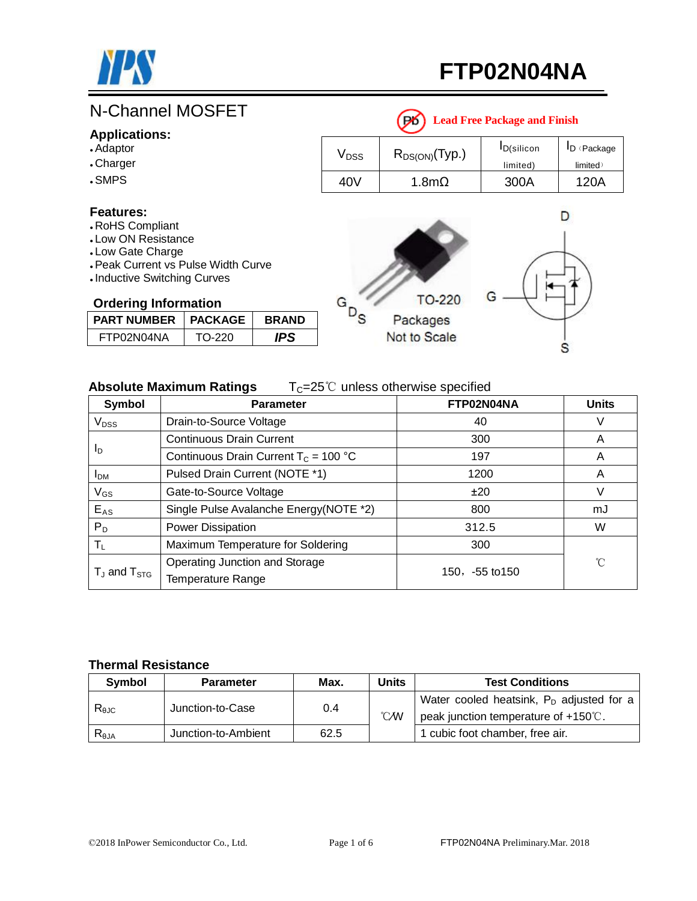

# **FTP02N04NA**

## **Leader Accord Package Package Package Package Package Package Package Package Package Package Package**

#### **Applications:**

- ●Adaptor
- . Charger
- .SMPS

#### **Features:**

- . RoHS Compliant
- . Low ON Resistance
- Low Gate Charge
- Peak Current vs Pulse Width Curve
- Inductive Switching Curves

#### **Ordering Information**

| <b>PART NUMBER</b> | <b>PACKAGE</b> | <b>BRAND</b> |
|--------------------|----------------|--------------|
| FTP02N04NA         | TO-220         | IPS          |

| <b>Lead Free Package and Finish</b> |                    |                    |                 |  |  |  |  |
|-------------------------------------|--------------------|--------------------|-----------------|--|--|--|--|
| $\mathsf{V}_{\mathsf{DSS}}$         | $R_{DS(ON)}(Typ.)$ | <b>I</b> D(silicon | $I_D$ (Package) |  |  |  |  |
|                                     |                    | limited)           | limited)        |  |  |  |  |
| 40V                                 | 1.8m $\Omega$      | 300A               | 120A            |  |  |  |  |
|                                     |                    |                    |                 |  |  |  |  |

### D **TO-220** G  $P_{\rm S}$ Packages Not to Scale S

#### **Absolute Maximum Ratings** T<sub>C</sub>=25℃ unless otherwise specified

| Symbol                              | <b>Parameter</b>                                    | FTP02N04NA          | <b>Units</b> |
|-------------------------------------|-----------------------------------------------------|---------------------|--------------|
| $V_{DSS}$                           | Drain-to-Source Voltage                             | 40                  | V            |
|                                     | <b>Continuous Drain Current</b>                     | 300                 | A            |
| Ιp                                  | Continuous Drain Current $T_c = 100 °C$             | 197                 | A            |
| I <sub>DM</sub>                     | Pulsed Drain Current (NOTE *1)                      | 1200                | A            |
| $V_{GS}$                            | Gate-to-Source Voltage                              | ±20                 | V            |
| $E_{AS}$                            | Single Pulse Avalanche Energy(NOTE *2)              | 800                 | mJ           |
| $P_D$                               | Power Dissipation                                   | 312.5               | W            |
| $\mathsf{T}_{\mathsf{L}}$           | Maximum Temperature for Soldering                   | 300                 |              |
| $T_{\text{J}}$ and $T_{\text{STG}}$ | Operating Junction and Storage<br>Temperature Range | $150, -55$ to $150$ | °C           |

G

#### **Thermal Resistance**

| <b>Symbol</b>  | <b>Parameter</b>    | Max. | <b>Units</b>  | <b>Test Conditions</b>                        |  |  |  |  |
|----------------|---------------------|------|---------------|-----------------------------------------------|--|--|--|--|
|                | Junction-to-Case    | 0.4  |               | Water cooled heatsink, $P_D$ adjusted for a   |  |  |  |  |
| $R_{\theta$ JC |                     |      | $\mathcal{N}$ | peak junction temperature of $+150^{\circ}$ . |  |  |  |  |
| $R_{\theta$ JA | Junction-to-Ambient | 62.5 |               | 1 cubic foot chamber, free air.               |  |  |  |  |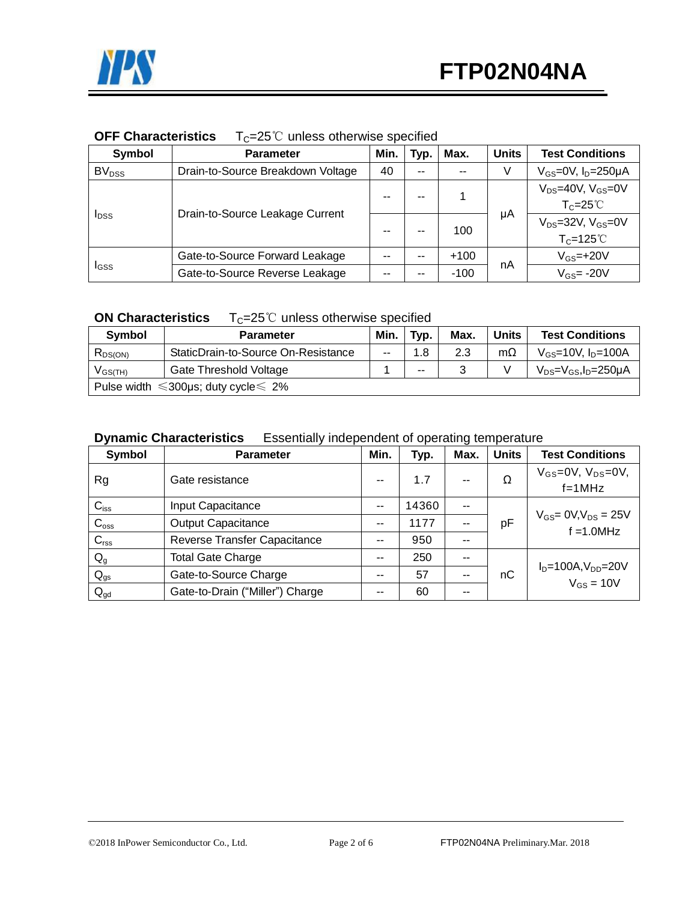#### **OFF Characteristics** T<sub>C</sub>=25℃ unless otherwise specified

| Symbol            | <b>Parameter</b>                  | Min.               | Typ.            | Max.   | <b>Units</b> | <b>Test Conditions</b>                              |
|-------------------|-----------------------------------|--------------------|-----------------|--------|--------------|-----------------------------------------------------|
| BV <sub>DSS</sub> | Drain-to-Source Breakdown Voltage | 40                 | $\sim$ $\sim$   | $- -$  | V            | $V_{GS}$ =0V, $I_D$ =250µA                          |
| $I_{DSS}$         | Drain-to-Source Leakage Current   | --                 | --              |        | μA           | $V_{DS}=40V$ , $V_{GS}=0V$<br>$T_c = 25^{\circ}$    |
|                   |                                   | --                 | --              | 100    |              | $V_{DS}$ =32V, $V_{GS}$ =0V<br>$T_c = 125^{\circ}C$ |
|                   | Gate-to-Source Forward Leakage    | --                 | $- -$           | $+100$ |              | $V_{GS}$ =+20 $V$                                   |
| I <sub>GSS</sub>  | Gate-to-Source Reverse Leakage    | nA<br>$-100$<br>-- | $V_{GS}$ = -20V |        |              |                                                     |

**ON Characteristics** T<sub>C</sub>=25℃ unless otherwise specified

| <b>Symbol</b> | <b>Parameter</b>                                     | Min. | Typ. | Max. | <b>Units</b> | <b>Test Conditions</b>           |  |
|---------------|------------------------------------------------------|------|------|------|--------------|----------------------------------|--|
| $R_{DS(ON)}$  | StaticDrain-to-Source On-Resistance                  | $-$  | 1.8  | 2.3  | $m\Omega$    | $V_{GS}$ =10V, $I_{D}$ =100A     |  |
| $V_{GS(TH)}$  | Gate Threshold Voltage                               |      | --   |      |              | $V_{DS} = V_{GS}I_D = 250 \mu A$ |  |
|               | Pulse width $\leq 300 \mu s$ ; duty cycle $\leq 2\%$ |      |      |      |              |                                  |  |

#### **Dynamic Characteristics** Essentially independent of operating temperature

| Symbol           | <b>Parameter</b>                | Min. | Typ.  | Max. | <b>Units</b> | <b>Test Conditions</b>                         |
|------------------|---------------------------------|------|-------|------|--------------|------------------------------------------------|
| Rg               | Gate resistance                 | $-$  | 1.7   | --   | Ω            | $V_{GS}$ =0V, $V_{DS}$ =0V,<br>$f = 1 MHz$     |
| $C_{iss}$        | Input Capacitance               | $-$  | 14360 | --   |              |                                                |
| $C_{\rm oss}$    | <b>Output Capacitance</b>       | $ -$ | 1177  | --   | pF           | $V_{GS} = 0 V, V_{DS} = 25 V$<br>$f = 1.0$ MHz |
| C <sub>rss</sub> | Reverse Transfer Capacitance    | $-$  | 950   | --   |              |                                                |
| $Q_{g}$          | <b>Total Gate Charge</b>        | $-$  | 250   | --   |              |                                                |
| $Q_{gs}$         | Gate-to-Source Charge           | $ -$ | 57    | $-$  | nC           | $I_D=100A, V_{DD}=20V$<br>$V_{GS} = 10V$       |
| $Q_{gd}$         | Gate-to-Drain ("Miller") Charge | $ -$ | 60    | --   |              |                                                |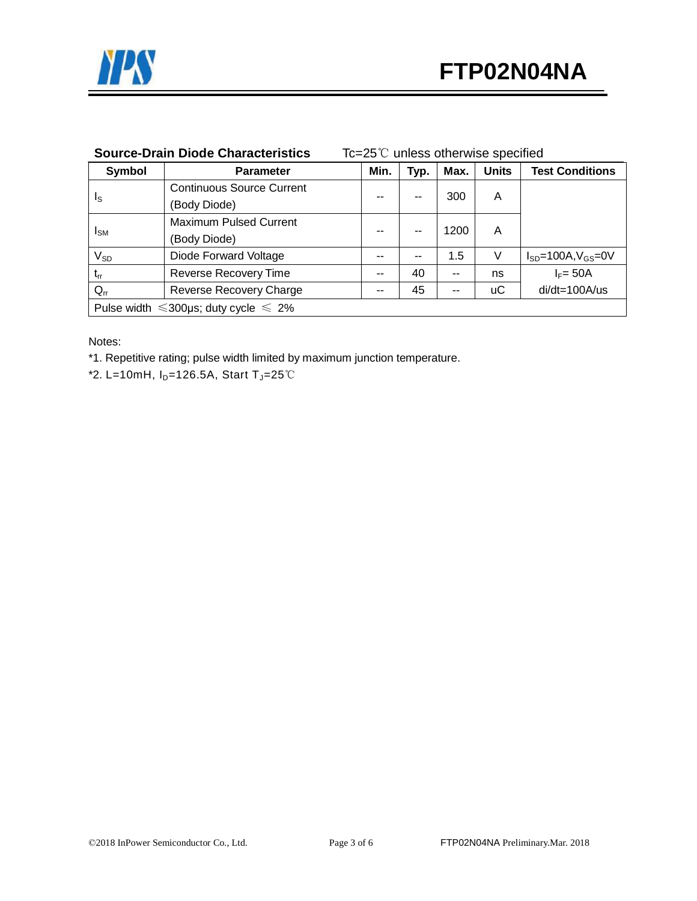

| Symbol                                           | <b>Parameter</b>                 | Min.  | Typ. | Max. | <b>Units</b> | <b>Test Conditions</b>       |
|--------------------------------------------------|----------------------------------|-------|------|------|--------------|------------------------------|
| Is                                               | <b>Continuous Source Current</b> |       | --   | 300  | A            |                              |
|                                                  | (Body Diode)                     | --    |      |      |              |                              |
|                                                  | <b>Maximum Pulsed Current</b>    | --    |      | 1200 | A            |                              |
| <b>I</b> sm                                      | (Body Diode)                     |       |      |      |              |                              |
| $V_{SD}$                                         | Diode Forward Voltage            | $-$   | --   | 1.5  | V            | $I_{SD}$ =100A, $V_{GS}$ =0V |
| $t_{rr}$                                         | Reverse Recovery Time            | --    | 40   | --   | ns           | $I_F = 50A$                  |
| $Q_{rr}$                                         | <b>Reverse Recovery Charge</b>   | $- -$ | 45   | --   | иC           | di/dt=100A/us                |
| Pulse width $\leq 300$ µs; duty cycle $\leq 2\%$ |                                  |       |      |      |              |                              |

#### **Source-Drain Diode Characteristics** Tc=25℃ unless otherwise specified

Notes:

\*1. Repetitive rating; pulse width limited by maximum junction temperature.

\*2. L=10mH,  $I_D=126.5A$ , Start T<sub>J</sub>=25℃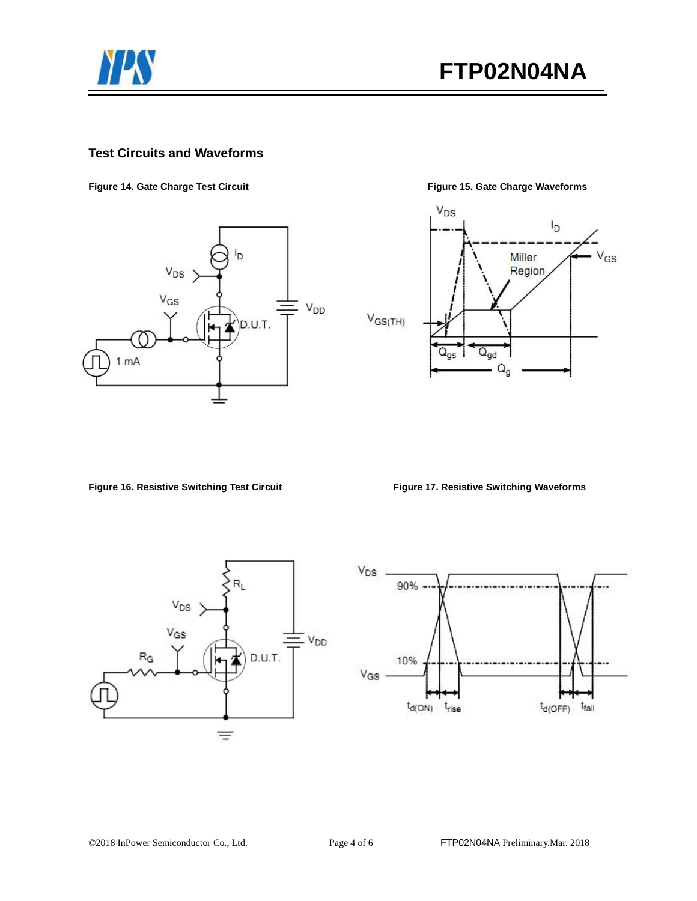

#### **Test Circuits and Waveforms**

**Figure 14. Gate Charge Test Circuit Figure 15. Gate Charge Waveforms** 





**Figure 16. Resistive Switching Test Circuit Figure 17. Resistive Switching Waveforms** 



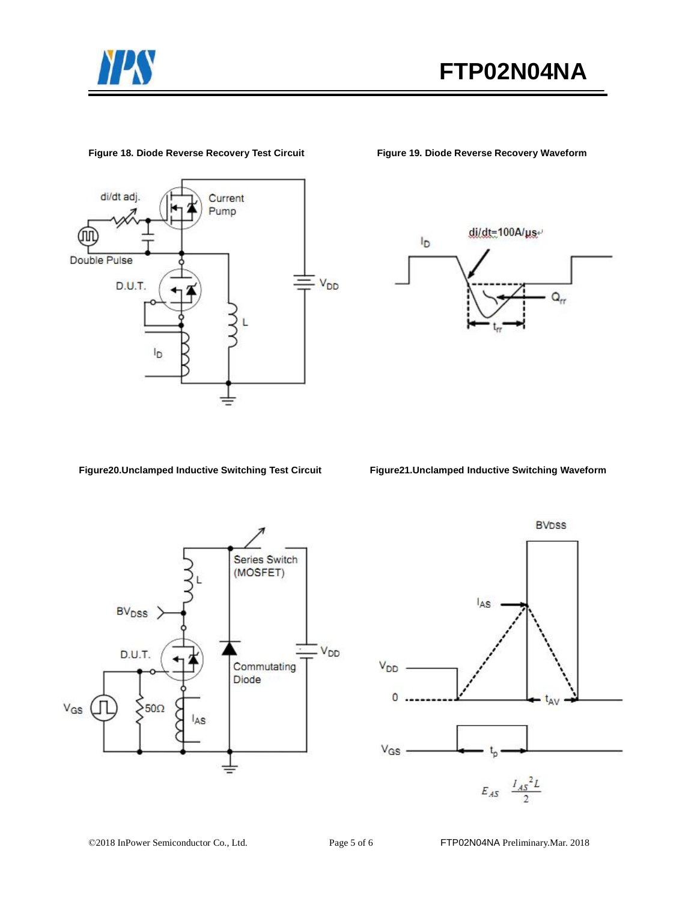



#### **Figure 18. Diode Reverse Recovery Test Circuit Figure 19. Diode Reverse Recovery Waveform**



**Figure20.Unclamped Inductive Switching Test Circuit Figure21.Unclamped Inductive Switching Waveform**